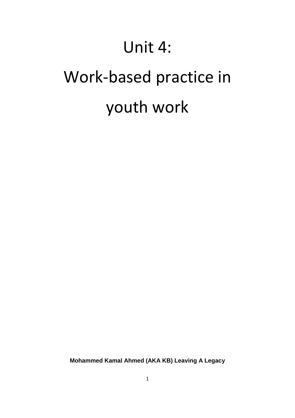# Unit 4:

# Work-based practice in youth work

**Mohammed Kamal Ahmed (AKA KB) Leaving A Legacy**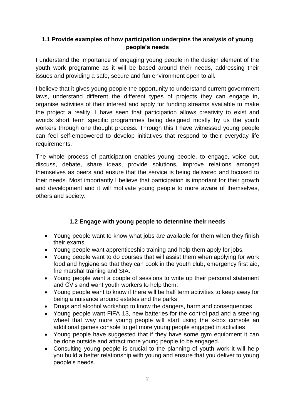# **1.1 Provide examples of how participation underpins the analysis of young people's needs**

I understand the importance of engaging young people in the design element of the youth work programme as it will be based around their needs, addressing their issues and providing a safe, secure and fun environment open to all.

I believe that it gives young people the opportunity to understand current government laws, understand different the different types of projects they can engage in, organise activities of their interest and apply for funding streams available to make the project a reality. I have seen that participation allows creativity to exist and avoids short term specific programmes being designed mostly by us the youth workers through one thought process. Through this I have witnessed young people can feel self-empowered to develop initiatives that respond to their everyday life requirements.

The whole process of participation enables young people, to engage, voice out, discuss, debate, share ideas, provide solutions, improve relations amongst themselves as peers and ensure that the service is being delivered and focused to their needs. Most importantly I believe that participation is important for their growth and development and it will motivate young people to more aware of themselves, others and society.

# **1.2 Engage with young people to determine their needs**

- Young people want to know what jobs are available for them when they finish their exams.
- Young people want apprenticeship training and help them apply for jobs.
- Young people want to do courses that will assist them when applying for work food and hygiene so that they can cook in the youth club, emergency first aid, fire marshal training and SIA.
- Young people want a couple of sessions to write up their personal statement and CV's and want youth workers to help them.
- Young people want to know if there will be half term activities to keep away for being a nuisance around estates and the parks
- Drugs and alcohol workshop to know the dangers, harm and consequences
- Young people want FIFA 13, new batteries for the control pad and a steering wheel that way more young people will start using the x-box console an additional games console to get more young people engaged in activities
- Young people have suggested that if they have some gym equipment it can be done outside and attract more young people to be engaged.
- Consulting young people is crucial to the planning of youth work it will help you build a better relationship with young and ensure that you deliver to young people's needs.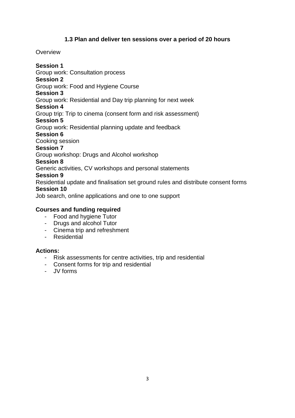# **1.3 Plan and deliver ten sessions over a period of 20 hours**

# **Overview**

# **Session 1**

Group work: Consultation process

# **Session 2**

Group work: Food and Hygiene Course

# **Session 3**

Group work: Residential and Day trip planning for next week

# **Session 4**

Group trip: Trip to cinema (consent form and risk assessment)

# **Session 5**

- Group work: Residential planning update and feedback
- **Session 6**

Cooking session

# **Session 7**

Group workshop: Drugs and Alcohol workshop

# **Session 8**

Generic activities, CV workshops and personal statements

# **Session 9**

Residential update and finalisation set ground rules and distribute consent forms **Session 10**

Job search, online applications and one to one support

# **Courses and funding required**

- Food and hygiene Tutor
- Drugs and alcohol Tutor
- Cinema trip and refreshment
- Residential

# **Actions:**

- Risk assessments for centre activities, trip and residential
- Consent forms for trip and residential
- JV forms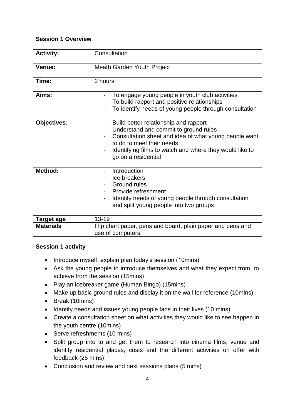# **Session 1 Overview**

| <b>Activity:</b>   | Consultation                                                                                                                                                                                                                                                                       |
|--------------------|------------------------------------------------------------------------------------------------------------------------------------------------------------------------------------------------------------------------------------------------------------------------------------|
| Venue:             | <b>Meath Garden Youth Project</b>                                                                                                                                                                                                                                                  |
| Time:              | 2 hours                                                                                                                                                                                                                                                                            |
| Aims:              | To engage young people in youth club activities<br>To build rapport and positive relationships<br>To identify needs of young people through consultation                                                                                                                           |
| <b>Objectives:</b> | Build better relationship and rapport<br>Understand and commit to ground rules<br>$\overline{\phantom{a}}$<br>Consultation sheet and idea of what young people want<br>to do to meet their needs<br>Identifying films to watch and where they would like to<br>go on a residential |
| <b>Method:</b>     | Introduction<br>Ice breakers<br><b>Ground rules</b><br>Provide refreshment<br>Identify needs of young people through consultation<br>and split young people into two groups                                                                                                        |
| <b>Target age</b>  | $13 - 19$                                                                                                                                                                                                                                                                          |
| <b>Materials</b>   | Flip chart paper, pens and board, plain paper and pens and<br>use of computers                                                                                                                                                                                                     |

# **Session 1 activity**

- Introduce myself, explain plan today's session (10mins)
- Ask the young people to introduce themselves and what they expect from to achieve from the session (15mins)
- Play an icebreaker game (Human Bingo) (15mins)
- Make up basic ground rules and display it on the wall for reference (10mins)
- Break (10mins)
- Identify needs and issues young people face in their lives (10 mins)
- Create a consultation sheet on what activities they would like to see happen in the youth centre (10mins)
- Serve refreshments (10 mins)
- Split group into to and get them to research into cinema films, venue and identify residential places, costs and the different activities on offer with feedback (25 mins)
- Conclusion and review and next sessions plans (5 mins)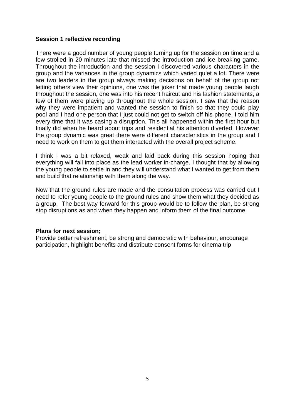#### **Session 1 reflective recording**

There were a good number of young people turning up for the session on time and a few strolled in 20 minutes late that missed the introduction and ice breaking game. Throughout the introduction and the session I discovered various characters in the group and the variances in the group dynamics which varied quiet a lot. There were are two leaders in the group always making decisions on behalf of the group not letting others view their opinions, one was the joker that made young people laugh throughout the session, one was into his recent haircut and his fashion statements, a few of them were playing up throughout the whole session. I saw that the reason why they were impatient and wanted the session to finish so that they could play pool and I had one person that I just could not get to switch off his phone. I told him every time that it was casing a disruption. This all happened within the first hour but finally did when he heard about trips and residential his attention diverted. However the group dynamic was great there were different characteristics in the group and I need to work on them to get them interacted with the overall project scheme.

I think I was a bit relaxed, weak and laid back during this session hoping that everything will fall into place as the lead worker in-charge. I thought that by allowing the young people to settle in and they will understand what I wanted to get from them and build that relationship with them along the way.

Now that the ground rules are made and the consultation process was carried out I need to refer young people to the ground rules and show them what they decided as a group. The best way forward for this group would be to follow the plan, be strong stop disruptions as and when they happen and inform them of the final outcome.

#### **Plans for next session;**

Provide better refreshment, be strong and democratic with behaviour, encourage participation, highlight benefits and distribute consent forms for cinema trip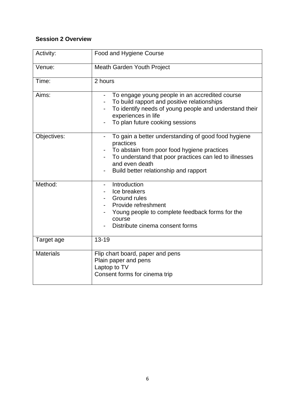# **Session 2 Overview**

| Activity:        | Food and Hygiene Course                                                                                                                                                                                                                                          |
|------------------|------------------------------------------------------------------------------------------------------------------------------------------------------------------------------------------------------------------------------------------------------------------|
| Venue:           | Meath Garden Youth Project                                                                                                                                                                                                                                       |
| Time:            | 2 hours                                                                                                                                                                                                                                                          |
| Aims:            | To engage young people in an accredited course<br>To build rapport and positive relationships<br>To identify needs of young people and understand their<br>experiences in life<br>To plan future cooking sessions                                                |
| Objectives:      | To gain a better understanding of good food hygiene<br>practices<br>To abstain from poor food hygiene practices<br>$\overline{\phantom{0}}$<br>To understand that poor practices can led to illnesses<br>and even death<br>Build better relationship and rapport |
| Method:          | Introduction<br>Ice breakers<br>Ground rules<br>Provide refreshment<br>Young people to complete feedback forms for the<br>course<br>Distribute cinema consent forms                                                                                              |
| Target age       | $13 - 19$                                                                                                                                                                                                                                                        |
| <b>Materials</b> | Flip chart board, paper and pens<br>Plain paper and pens<br>Laptop to TV<br>Consent forms for cinema trip                                                                                                                                                        |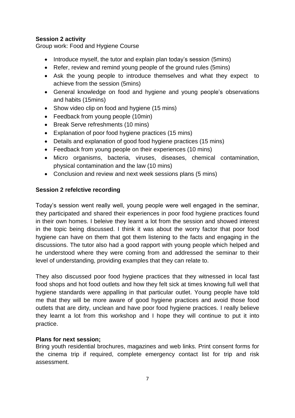# **Session 2 activity**

Group work: Food and Hygiene Course

- Introduce myself, the tutor and explain plan today's session (5mins)
- Refer, review and remind young people of the ground rules (5mins)
- Ask the young people to introduce themselves and what they expect to achieve from the session (5mins)
- General knowledge on food and hygiene and young people's observations and habits (15mins)
- Show video clip on food and hygiene (15 mins)
- Feedback from young people (10min)
- Break Serve refreshments (10 mins)
- Explanation of poor food hygiene practices (15 mins)
- Details and explanation of good food hygiene practices (15 mins)
- Feedback from young people on their experiences (10 mins)
- Micro organisms, bacteria, viruses, diseases, chemical contamination, physical contamination and the law (10 mins)
- Conclusion and review and next week sessions plans (5 mins)

#### **Session 2 refelctive recording**

Today's session went really well, young people were well engaged in the seminar, they participated and shared their experiences in poor food hygiene practices found in their own homes. I beleive they learnt a lot from the session and showed interest in the topic being discussed. I think it was about the worry factor that poor food hygiene can have on them that got them listening to the facts and engaging in the discussions. The tutor also had a good rapport with young people which helped and he understood where they were coming from and addressed the seminar to their level of understanding, providing examples that they can relate to.

They also discussed poor food hygiene practices that they witnessed in local fast food shops and hot food outlets and how they felt sick at times knowing full well that hygiene standards were appalling in that particular outlet. Young people have told me that they will be more aware of good hygiene practices and avoid those food outlets that are dirty, unclean and have poor food hygiene practices. I really believe they learnt a lot from this workshop and I hope they will continue to put it into practice.

#### **Plans for next session;**

Bring youth residential brochures, magazines and web links. Print consent forms for the cinema trip if required, complete emergency contact list for trip and risk assessment.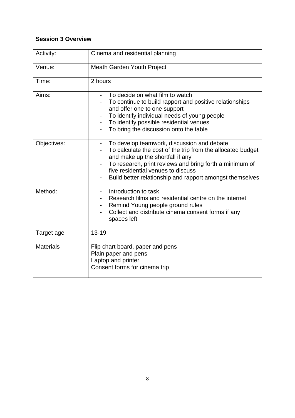# **Session 3 Overview**

| Activity:        | Cinema and residential planning                                                                                                                                                                                                                                                                                                        |
|------------------|----------------------------------------------------------------------------------------------------------------------------------------------------------------------------------------------------------------------------------------------------------------------------------------------------------------------------------------|
| Venue:           | <b>Meath Garden Youth Project</b>                                                                                                                                                                                                                                                                                                      |
| Time:            | 2 hours                                                                                                                                                                                                                                                                                                                                |
| Aims:            | To decide on what film to watch<br>To continue to build rapport and positive relationships<br>and offer one to one support<br>To identify individual needs of young people<br>To identify possible residential venues<br>$\overline{\phantom{0}}$<br>To bring the discussion onto the table                                            |
| Objectives:      | To develop teamwork, discussion and debate<br>$\overline{\phantom{0}}$<br>To calculate the cost of the trip from the allocated budget<br>and make up the shortfall if any<br>To research, print reviews and bring forth a minimum of<br>five residential venues to discuss<br>Build better relationship and rapport amongst themselves |
| Method:          | Introduction to task<br>Research films and residential centre on the internet<br>Remind Young people ground rules<br>Collect and distribute cinema consent forms if any<br>spaces left                                                                                                                                                 |
| Target age       | $13 - 19$                                                                                                                                                                                                                                                                                                                              |
| <b>Materials</b> | Flip chart board, paper and pens<br>Plain paper and pens<br>Laptop and printer<br>Consent forms for cinema trip                                                                                                                                                                                                                        |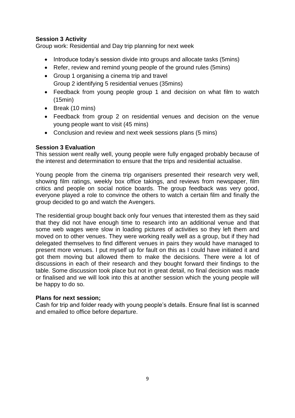# **Session 3 Activity**

Group work: Residential and Day trip planning for next week

- Introduce today's session divide into groups and allocate tasks (5mins)
- Refer, review and remind young people of the ground rules (5mins)
- Group 1 organising a cinema trip and travel Group 2 identifying 5 residential venues (35mins)
- Feedback from young people group 1 and decision on what film to watch (15min)
- Break (10 mins)
- Feedback from group 2 on residential venues and decision on the venue young people want to visit (45 mins)
- Conclusion and review and next week sessions plans (5 mins)

# **Session 3 Evaluation**

This session went really well, young people were fully engaged probably because of the interest and determination to ensure that the trips and residential actualise.

Young people from the cinema trip organisers presented their research very well, showing film ratings, weekly box office takings, and reviews from newspaper, film critics and people on social notice boards. The group feedback was very good, everyone played a role to convince the others to watch a certain film and finally the group decided to go and watch the Avengers.

The residential group bought back only four venues that interested them as they said that they did not have enough time to research into an additional venue and that some web wages were slow in loading pictures of activities so they left them and moved on to other venues. They were working really well as a group, but if they had delegated themselves to find different venues in pairs they would have managed to present more venues. I put myself up for fault on this as I could have initiated it and got them moving but allowed them to make the decisions. There were a lot of discussions in each of their research and they bought forward their findings to the table. Some discussion took place but not in great detail, no final decision was made or finalised and we will look into this at another session which the young people will be happy to do so.

# **Plans for next session;**

Cash for trip and folder ready with young people's details. Ensure final list is scanned and emailed to office before departure.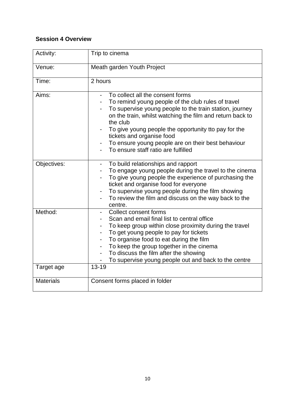# **Session 4 Overview**

| Activity:        | Trip to cinema                                                                                                                                                                                                                                                                                                                                                                                               |
|------------------|--------------------------------------------------------------------------------------------------------------------------------------------------------------------------------------------------------------------------------------------------------------------------------------------------------------------------------------------------------------------------------------------------------------|
| Venue:           | Meath garden Youth Project                                                                                                                                                                                                                                                                                                                                                                                   |
| Time:            | 2 hours                                                                                                                                                                                                                                                                                                                                                                                                      |
| Aims:            | To collect all the consent forms<br>To remind young people of the club rules of travel<br>To supervise young people to the train station, journey<br>on the train, whilst watching the film and return back to<br>the club<br>To give young people the opportunity tto pay for the<br>tickets and organise food<br>To ensure young people are on their best behaviour<br>To ensure staff ratio are fulfilled |
| Objectives:      | To build relationships and rapport<br>To engage young people during the travel to the cinema<br>To give young people the experience of purchasing the<br>ticket and organise food for everyone<br>To supervise young people during the film showing<br>To review the film and discuss on the way back to the<br>centre.                                                                                      |
| Method:          | Collect consent forms<br>Scan and email final list to central office<br>To keep group within close proximity during the travel<br>To get young people to pay for tickets<br>To organise food to eat during the film<br>To keep the group together in the cinema<br>To discuss the film after the showing<br>To supervise young people out and back to the centre<br>$\blacksquare$                           |
| Target age       | 13-19                                                                                                                                                                                                                                                                                                                                                                                                        |
| <b>Materials</b> | Consent forms placed in folder                                                                                                                                                                                                                                                                                                                                                                               |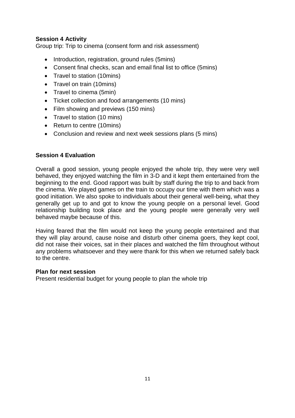# **Session 4 Activity**

Group trip: Trip to cinema (consent form and risk assessment)

- Introduction, registration, ground rules (5mins)
- Consent final checks, scan and email final list to office (5mins)
- Travel to station (10mins)
- Travel on train (10mins)
- Travel to cinema (5min)
- Ticket collection and food arrangements (10 mins)
- Film showing and previews (150 mins)
- Travel to station (10 mins)
- Return to centre (10mins)
- Conclusion and review and next week sessions plans (5 mins)

# **Session 4 Evaluation**

Overall a good session, young people enjoyed the whole trip, they were very well behaved, they enjoyed watching the film in 3-D and it kept them entertained from the beginning to the end. Good rapport was built by staff during the trip to and back from the cinema. We played games on the train to occupy our time with them which was a good initiation. We also spoke to individuals about their general well-being, what they generally get up to and got to know the young people on a personal level. Good relationship building took place and the young people were generally very well behaved maybe because of this.

Having feared that the film would not keep the young people entertained and that they will play around, cause noise and disturb other cinema goers, they kept cool, did not raise their voices, sat in their places and watched the film throughout without any problems whatsoever and they were thank for this when we returned safely back to the centre.

#### **Plan for next session**

Present residential budget for young people to plan the whole trip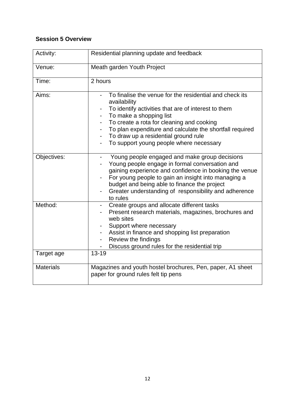# **Session 5 Overview**

| Activity:        | Residential planning update and feedback                                                                                                                                                                                                                                                                                                                                               |
|------------------|----------------------------------------------------------------------------------------------------------------------------------------------------------------------------------------------------------------------------------------------------------------------------------------------------------------------------------------------------------------------------------------|
| Venue:           | Meath garden Youth Project                                                                                                                                                                                                                                                                                                                                                             |
| Time:            | 2 hours                                                                                                                                                                                                                                                                                                                                                                                |
| Aims:            | To finalise the venue for the residential and check its<br>availability<br>To identify activities that are of interest to them<br>To make a shopping list<br>To create a rota for cleaning and cooking<br>To plan expenditure and calculate the shortfall required<br>To draw up a residential ground rule<br>$\overline{\phantom{0}}$<br>To support young people where necessary<br>- |
| Objectives:      | Young people engaged and make group decisions<br>$\overline{\phantom{0}}$<br>Young people engage in formal conversation and<br>gaining experience and confidence in booking the venue<br>For young people to gain an insight into managing a<br>budget and being able to finance the project<br>Greater understanding of responsibility and adherence<br>to rules                      |
| Method:          | Create groups and allocate different tasks<br>Present research materials, magazines, brochures and<br>web sites<br>Support where necessary<br>Assist in finance and shopping list preparation<br>Review the findings<br>Discuss ground rules for the residential trip                                                                                                                  |
| Target age       | $13 - 19$                                                                                                                                                                                                                                                                                                                                                                              |
| <b>Materials</b> | Magazines and youth hostel brochures, Pen, paper, A1 sheet<br>paper for ground rules felt tip pens                                                                                                                                                                                                                                                                                     |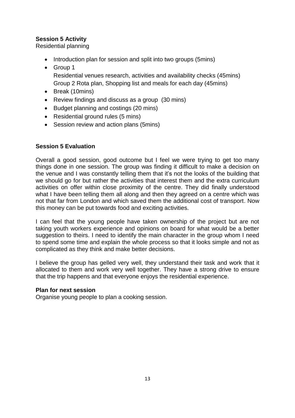# **Session 5 Activity**

Residential planning

- Introduction plan for session and split into two groups (5mins)
- Group 1 Residential venues research, activities and availability checks (45mins) Group 2 Rota plan, Shopping list and meals for each day (45mins)
- Break (10mins)
- Review findings and discuss as a group (30 mins)
- Budget planning and costings (20 mins)
- Residential ground rules (5 mins)
- Session review and action plans (5mins)

# **Session 5 Evaluation**

Overall a good session, good outcome but I feel we were trying to get too many things done in one session. The group was finding it difficult to make a decision on the venue and I was constantly telling them that it's not the looks of the building that we should go for but rather the activities that interest them and the extra curriculum activities on offer within close proximity of the centre. They did finally understood what I have been telling them all along and then they agreed on a centre which was not that far from London and which saved them the additional cost of transport. Now this money can be put towards food and exciting activities.

I can feel that the young people have taken ownership of the project but are not taking youth workers experience and opinions on board for what would be a better suggestion to theirs. I need to identify the main character in the group whom I need to spend some time and explain the whole process so that it looks simple and not as complicated as they think and make better decisions.

I believe the group has gelled very well, they understand their task and work that it allocated to them and work very well together. They have a strong drive to ensure that the trip happens and that everyone enjoys the residential experience.

#### **Plan for next session**

Organise young people to plan a cooking session.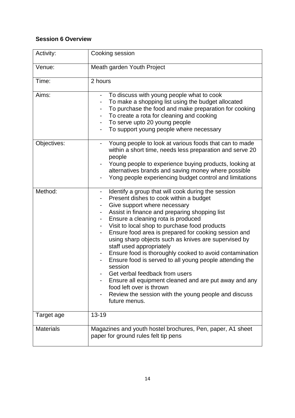# **Session 6 Overview**

| Activity:        | Cooking session                                                                                                                                                                                                                                                                                                                                                                                                                                                                                                                                                                                                                                                                                                                                                                        |
|------------------|----------------------------------------------------------------------------------------------------------------------------------------------------------------------------------------------------------------------------------------------------------------------------------------------------------------------------------------------------------------------------------------------------------------------------------------------------------------------------------------------------------------------------------------------------------------------------------------------------------------------------------------------------------------------------------------------------------------------------------------------------------------------------------------|
| Venue:           | Meath garden Youth Project                                                                                                                                                                                                                                                                                                                                                                                                                                                                                                                                                                                                                                                                                                                                                             |
| Time:            | 2 hours                                                                                                                                                                                                                                                                                                                                                                                                                                                                                                                                                                                                                                                                                                                                                                                |
| Aims:            | To discuss with young people what to cook<br>To make a shopping list using the budget allocated<br>To purchase the food and make preparation for cooking<br>To create a rota for cleaning and cooking<br>To serve upto 20 young people<br>To support young people where necessary                                                                                                                                                                                                                                                                                                                                                                                                                                                                                                      |
| Objectives:      | Young people to look at various foods that can to made<br>-<br>within a short time, needs less preparation and serve 20<br>people<br>Young people to experience buying products, looking at<br>alternatives brands and saving money where possible<br>Yong people experiencing budget control and limitations                                                                                                                                                                                                                                                                                                                                                                                                                                                                          |
| Method:          | Identify a group that will cook during the session<br>۰<br>Present dishes to cook within a budget<br>Give support where necessary<br>Assist in finance and preparing shopping list<br>Ensure a cleaning rota is produced<br>Visit to local shop to purchase food products<br>Ensure food area is prepared for cooking session and<br>$\qquad \qquad \blacksquare$<br>using sharp objects such as knives are supervised by<br>staff used appropriately<br>Ensure food is thoroughly cooked to avoid contamination<br>Ensure food is served to all young people attending the<br>session<br>Get verbal feedback from users<br>Ensure all equipment cleaned and are put away and any<br>food left over is thrown<br>Review the session with the young people and discuss<br>future menus. |
| Target age       | 13-19                                                                                                                                                                                                                                                                                                                                                                                                                                                                                                                                                                                                                                                                                                                                                                                  |
| <b>Materials</b> | Magazines and youth hostel brochures, Pen, paper, A1 sheet<br>paper for ground rules felt tip pens                                                                                                                                                                                                                                                                                                                                                                                                                                                                                                                                                                                                                                                                                     |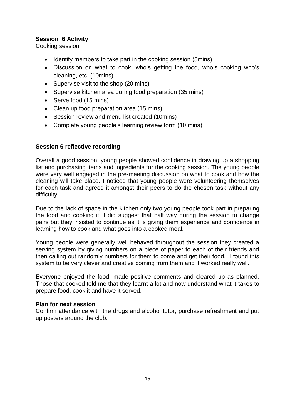# **Session 6 Activity**

Cooking session

- Identify members to take part in the cooking session (5mins)
- Discussion on what to cook, who's getting the food, who's cooking who's cleaning, etc. (10mins)
- Supervise visit to the shop (20 mins)
- Supervise kitchen area during food preparation (35 mins)
- Serve food (15 mins)
- Clean up food preparation area (15 mins)
- Session review and menu list created (10mins)
- Complete young people's learning review form (10 mins)

# **Session 6 reflective recording**

Overall a good session, young people showed confidence in drawing up a shopping list and purchasing items and ingredients for the cooking session. The young people were very well engaged in the pre-meeting discussion on what to cook and how the cleaning will take place. I noticed that young people were volunteering themselves for each task and agreed it amongst their peers to do the chosen task without any difficulty.

Due to the lack of space in the kitchen only two young people took part in preparing the food and cooking it. I did suggest that half way during the session to change pairs but they insisted to continue as it is giving them experience and confidence in learning how to cook and what goes into a cooked meal.

Young people were generally well behaved throughout the session they created a serving system by giving numbers on a piece of paper to each of their friends and then calling out randomly numbers for them to come and get their food. I found this system to be very clever and creative coming from them and it worked really well.

Everyone enjoyed the food, made positive comments and cleared up as planned. Those that cooked told me that they learnt a lot and now understand what it takes to prepare food, cook it and have it served.

#### **Plan for next session**

Confirm attendance with the drugs and alcohol tutor, purchase refreshment and put up posters around the club.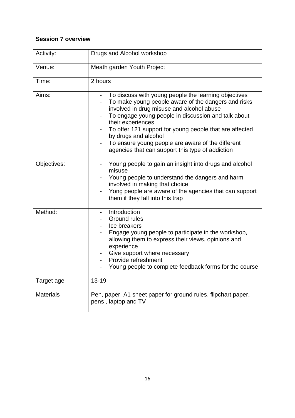# **Session 7 overview**

| Activity:        | Drugs and Alcohol workshop                                                                                                                                                                                                                                                                                                                                                                                                                                                                       |
|------------------|--------------------------------------------------------------------------------------------------------------------------------------------------------------------------------------------------------------------------------------------------------------------------------------------------------------------------------------------------------------------------------------------------------------------------------------------------------------------------------------------------|
| Venue:           | Meath garden Youth Project                                                                                                                                                                                                                                                                                                                                                                                                                                                                       |
| Time:            | 2 hours                                                                                                                                                                                                                                                                                                                                                                                                                                                                                          |
| Aims:            | To discuss with young people the learning objectives<br>$\qquad \qquad \blacksquare$<br>To make young people aware of the dangers and risks<br>$\qquad \qquad \blacksquare$<br>involved in drug misuse and alcohol abuse<br>To engage young people in discussion and talk about<br>their experiences<br>To offer 121 support for young people that are affected<br>by drugs and alcohol<br>To ensure young people are aware of the different<br>agencies that can support this type of addiction |
| Objectives:      | Young people to gain an insight into drugs and alcohol<br>misuse<br>Young people to understand the dangers and harm<br>involved in making that choice<br>Yong people are aware of the agencies that can support<br>them if they fall into this trap                                                                                                                                                                                                                                              |
| Method:          | Introduction<br>Ground rules<br>Ice breakers<br>Engage young people to participate in the workshop,<br>allowing them to express their views, opinions and<br>experience<br>Give support where necessary<br>Provide refreshment<br>Young people to complete feedback forms for the course                                                                                                                                                                                                         |
| Target age       | $13 - 19$                                                                                                                                                                                                                                                                                                                                                                                                                                                                                        |
| <b>Materials</b> | Pen, paper, A1 sheet paper for ground rules, flipchart paper,<br>pens, laptop and TV                                                                                                                                                                                                                                                                                                                                                                                                             |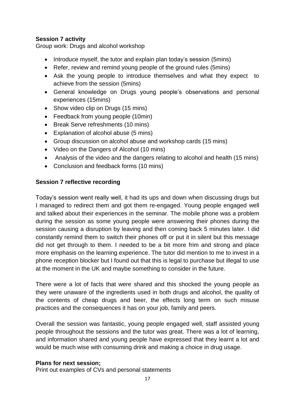# **Session 7 activity**

Group work: Drugs and alcohol workshop

- Introduce myself, the tutor and explain plan today's session (5mins)
- Refer, review and remind young people of the ground rules (5mins)
- Ask the young people to introduce themselves and what they expect to achieve from the session (5mins)
- General knowledge on Drugs young people's observations and personal experiences (15mins)
- Show video clip on Drugs (15 mins)
- Feedback from young people (10min)
- Break Serve refreshments (10 mins)
- Explanation of alcohol abuse (5 mins)
- Group discussion on alcohol abuse and workshop cards (15 mins)
- Video on the Dangers of Alcohol (10 mins)
- Analysis of the video and the dangers relating to alcohol and health (15 mins)
- Conclusion and feedback forms (10 mins)

#### **Session 7 reflective recording**

Today's session went really well, it had its ups and down when discussing drugs but I managed to redirect them and got them re-engaged. Young people engaged well and talked about their experiences in the seminar. The mobile phone was a problem during the session as some young people were answering their phones during the session causing a disruption by leaving and then coming back 5 minutes later. I did constantly remind them to switch their phones off or put it in silent but this message did not get through to them. I needed to be a bit more frim and strong and place more emphasis on the learning experience. The tutor did mention to me to invest in a phone reception blocker but I found out that this is legal to purchase but illegal to use at the moment in the UK and maybe something to consider in the future.

There were a lot of facts that were shared and this shocked the young people as they were unaware of the ingredients used in both drugs and alcohol, the quality of the contents of cheap drugs and beer, the effects long term on such misuse practices and the consequences it has on your job, family and peers.

Overall the session was fantastic, young people engaged well, staff assisted young people throughout the sessions and the tutor was great. There was a lot of learning, and information shared and young people have expressed that they learnt a lot and would be much wise with consuming drink and making a choice in drug usage.

# **Plans for next session;**

Print out examples of CVs and personal statements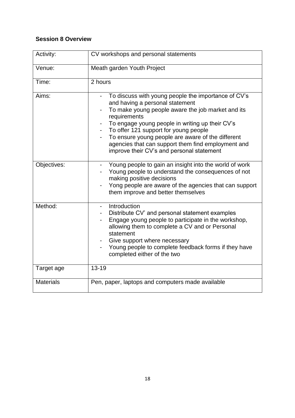# **Session 8 Overview**

| Activity:        | CV workshops and personal statements                                                                                                                                                                                                                                                                                                                                                                                              |
|------------------|-----------------------------------------------------------------------------------------------------------------------------------------------------------------------------------------------------------------------------------------------------------------------------------------------------------------------------------------------------------------------------------------------------------------------------------|
| Venue:           | Meath garden Youth Project                                                                                                                                                                                                                                                                                                                                                                                                        |
| Time:            | 2 hours                                                                                                                                                                                                                                                                                                                                                                                                                           |
| Aims:            | To discuss with young people the importance of CV's<br>$\blacksquare$<br>and having a personal statement<br>To make young people aware the job market and its<br>requirements<br>To engage young people in writing up their CV's<br>To offer 121 support for young people<br>To ensure young people are aware of the different<br>agencies that can support them find employment and<br>improve their CV's and personal statement |
| Objectives:      | Young people to gain an insight into the world of work<br>Young people to understand the consequences of not<br>making positive decisions<br>Yong people are aware of the agencies that can support<br>them improve and better themselves                                                                                                                                                                                         |
| Method:          | Introduction<br>Distribute CV' and personal statement examples<br>Engage young people to participate in the workshop,<br>allowing them to complete a CV and or Personal<br>statement<br>Give support where necessary<br>Young people to complete feedback forms if they have<br>completed either of the two                                                                                                                       |
| Target age       | $13 - 19$                                                                                                                                                                                                                                                                                                                                                                                                                         |
| <b>Materials</b> | Pen, paper, laptops and computers made available                                                                                                                                                                                                                                                                                                                                                                                  |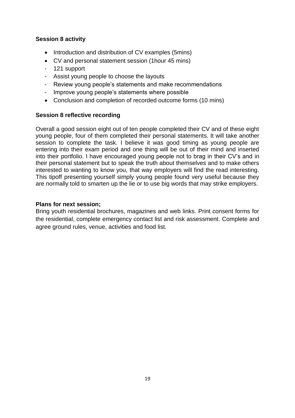# **Session 8 activity**

- Introduction and distribution of CV examples (5mins)
- CV and personal statement session (1hour 45 mins)
- 121 support
- Assist young people to choose the layouts
- Review young people's statements and make recommendations
- Improve young people's statements where possible
- Conclusion and completion of recorded outcome forms (10 mins)

# **Session 8 reflective recording**

Overall a good session eight out of ten people completed their CV and of these eight young people, four of them completed their personal statements. It will take another session to complete the task. I believe it was good timing as young people are entering into their exam period and one thing will be out of their mind and inserted into their portfolio. I have encouraged young people not to brag in their CV's and in their personal statement but to speak the truth about themselves and to make others interested to wanting to know you, that way employers will find the read interesting. This tipoff presenting yourself simply young people found very useful because they are normally told to smarten up the lie or to use big words that may strike employers.

# **Plans for next session;**

Bring youth residential brochures, magazines and web links. Print consent forms for the residential, complete emergency contact list and risk assessment. Complete and agree ground rules, venue, activities and food list.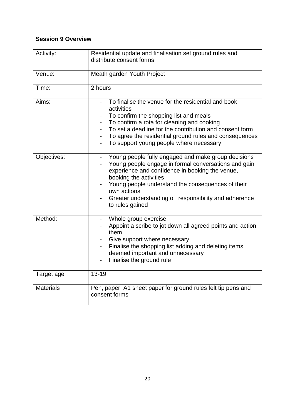# **Session 9 Overview**

| Activity:        | Residential update and finalisation set ground rules and<br>distribute consent forms                                                                                                                                                                                                                                                                 |
|------------------|------------------------------------------------------------------------------------------------------------------------------------------------------------------------------------------------------------------------------------------------------------------------------------------------------------------------------------------------------|
| Venue:           | Meath garden Youth Project                                                                                                                                                                                                                                                                                                                           |
| Time:            | 2 hours                                                                                                                                                                                                                                                                                                                                              |
| Aims:            | To finalise the venue for the residential and book<br>activities<br>To confirm the shopping list and meals<br>To confirm a rota for cleaning and cooking<br>To set a deadline for the contribution and consent form<br>To agree the residential ground rules and consequences<br>To support young people where necessary<br>$\overline{\phantom{a}}$ |
| Objectives:      | Young people fully engaged and make group decisions<br>Young people engage in formal conversations and gain<br>experience and confidence in booking the venue,<br>booking the activities<br>Young people understand the consequences of their<br>own actions<br>Greater understanding of responsibility and adherence<br>to rules gained             |
| Method:          | Whole group exercise<br>Appoint a scribe to jot down all agreed points and action<br>them<br>Give support where necessary<br>Finalise the shopping list adding and deleting items<br>deemed important and unnecessary<br>Finalise the ground rule                                                                                                    |
| Target age       | $13 - 19$                                                                                                                                                                                                                                                                                                                                            |
| <b>Materials</b> | Pen, paper, A1 sheet paper for ground rules felt tip pens and<br>consent forms                                                                                                                                                                                                                                                                       |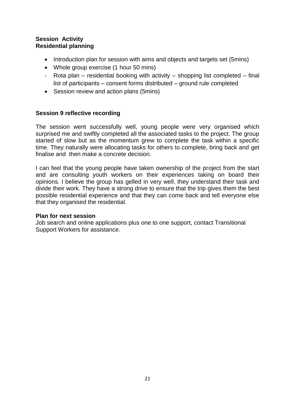# **Session Activity Residential planning**

- Introduction plan for session with aims and objects and targets set (5mins)
- Whole group exercise (1 hour 50 mins)
- Rota plan residential booking with activity shopping list completed final list of participants – consent forms distributed – ground rule completed
- Session review and action plans (5mins)

# **Session 9 reflective recording**

The session went successfully well, young people were very organised which surprised me and swiftly completed all the associated tasks to the project. The group started of slow but as the momentum grew to complete the task within a specific time. They naturally were allocating tasks for others to complete, bring back and get finalise and then make a concrete decision.

I can feel that the young people have taken ownership of the project from the start and are consulting youth workers on their experiences taking on board their opinions. I believe the group has gelled in very well, they understand their task and divide their work. They have a strong drive to ensure that the trip gives them the best possible residential experience and that they can come back and tell everyone else that they organised the residential.

#### **Plan for next session**

Job search and online applications plus one to one support, contact Transitional Support Workers for assistance.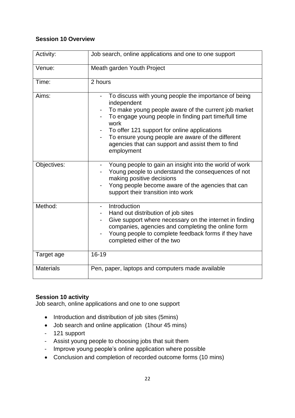# **Session 10 Overview**

| Activity:        | Job search, online applications and one to one support                                                                                                                                                                                                                                                                                                               |
|------------------|----------------------------------------------------------------------------------------------------------------------------------------------------------------------------------------------------------------------------------------------------------------------------------------------------------------------------------------------------------------------|
| Venue:           | Meath garden Youth Project                                                                                                                                                                                                                                                                                                                                           |
| Time:            | 2 hours                                                                                                                                                                                                                                                                                                                                                              |
| Aims:            | To discuss with young people the importance of being<br>independent<br>To make young people aware of the current job market<br>To engage young people in finding part time/full time<br>work<br>To offer 121 support for online applications<br>To ensure young people are aware of the different<br>agencies that can support and assist them to find<br>employment |
| Objectives:      | Young people to gain an insight into the world of work<br>Young people to understand the consequences of not<br>making positive decisions<br>Yong people become aware of the agencies that can<br>support their transition into work                                                                                                                                 |
| Method:          | Introduction<br>Hand out distribution of job sites<br>Give support where necessary on the internet in finding<br>companies, agencies and completing the online form<br>Young people to complete feedback forms if they have<br>completed either of the two                                                                                                           |
| Target age       | 16-19                                                                                                                                                                                                                                                                                                                                                                |
| <b>Materials</b> | Pen, paper, laptops and computers made available                                                                                                                                                                                                                                                                                                                     |

# **Session 10 activity**

Job search, online applications and one to one support

- Introduction and distribution of job sites (5mins)
- Job search and online application (1hour 45 mins)
- 121 support
- Assist young people to choosing jobs that suit them
- Improve young people's online application where possible
- Conclusion and completion of recorded outcome forms (10 mins)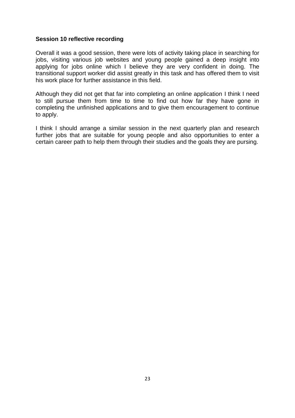#### **Session 10 reflective recording**

Overall it was a good session, there were lots of activity taking place in searching for jobs, visiting various job websites and young people gained a deep insight into applying for jobs online which I believe they are very confident in doing. The transitional support worker did assist greatly in this task and has offered them to visit his work place for further assistance in this field.

Although they did not get that far into completing an online application I think I need to still pursue them from time to time to find out how far they have gone in completing the unfinished applications and to give them encouragement to continue to apply.

I think I should arrange a similar session in the next quarterly plan and research further jobs that are suitable for young people and also opportunities to enter a certain career path to help them through their studies and the goals they are pursing.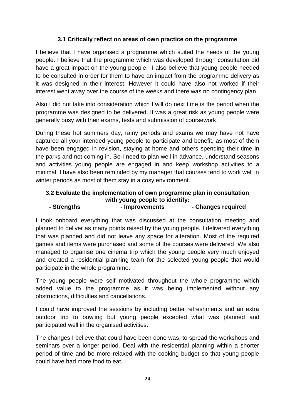# **3.1 Critically reflect on areas of own practice on the programme**

I believe that I have organised a programme which suited the needs of the young people. I believe that the programme which was developed through consultation did have a great impact on the young people. I also believe that young people needed to be consulted in order for them to have an impact from the programme delivery as it was designed in their interest. However it could have also not worked if their interest went away over the course of the weeks and there was no contingency plan.

Also I did not take into consideration which I will do next time is the period when the programme was designed to be delivered. It was a great risk as young people were generally busy with their exams, tests and submission of coursework.

During these hot summers day, rainy periods and exams we may have not have captured all your intended young people to participate and benefit, as most of them have been engaged in revision, staying at home and others spending their time in the parks and not coming in. So I need to plan well in advance, understand seasons and activities young people are engaged in and keep workshop activities to a minimal. I have also been reminded by my manager that courses tend to work well in winter periods as most of them stay in a cosy environment.

# **3.2 Evaluate the implementation of own programme plan in consultation with young people to identify:**

# **- Strengths - Improvements - Changes required**

I took onboard everything that was discussed at the consultation meeting and planned to deliver as many points raised by the young people. I delivered everything that was planned and did not leave any space for alteration. Most of the required games and items were purchased and some of the courses were delivered. We also managed to organise one cinema trip which the young people very much enjoyed and created a residential planning team for the selected young people that would participate in the whole programme.

The young people were self motivated throughout the whole programme which added value to the programme as it was being implemented without any obstructions, difficulties and cancellations.

I could have improved the sessions by including better refreshments and an extra outdoor trip to bowling but young people excepted what was planned and participated well in the organised activities.

The changes I believe that could have been done was, to spread the workshops and seminars over a longer period. Deal with the residential planning within a shorter period of time and be more relaxed with the cooking budget so that young people could have had more food to eat.